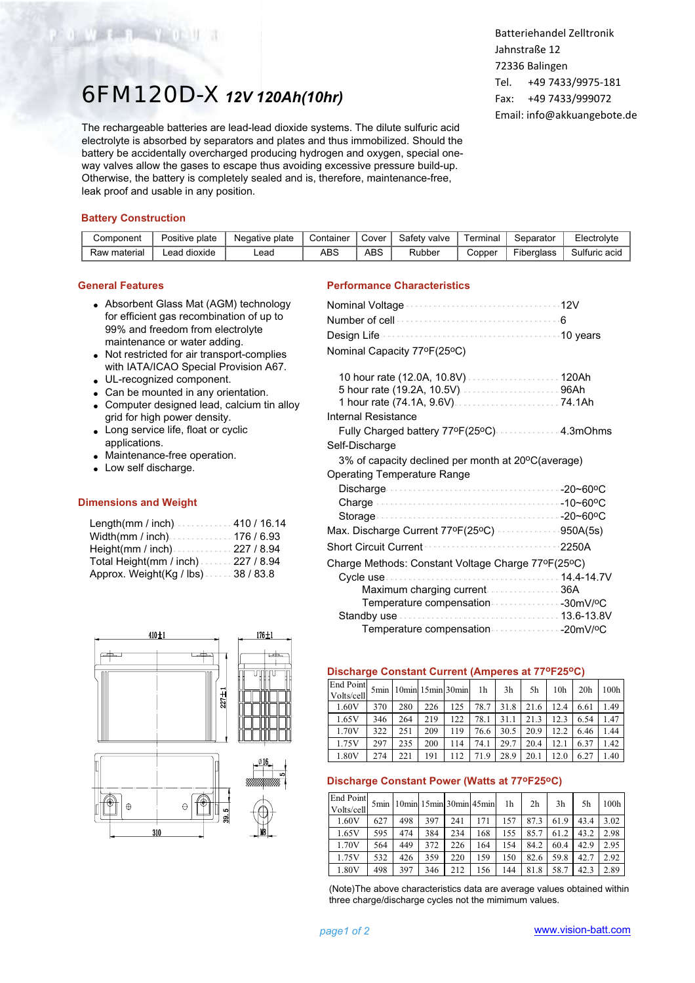# 6FM120D-X*12V 120Ah(10hr)*

The rechargeable batteries are lead-lead dioxide systems. The dilute sulfuric acid electrolyte is absorbed by separators and plates and thus immobilized. Should the battery be accidentally overcharged producing hydrogen and oxygen, special oneway valves allow the gases to escape thus avoiding excessive pressure build-up. Otherwise, the battery is completely sealed and is, therefore, maintenance-free, leak proof and usable in any position.

Batteriehandel Zelltronik Jahnstraße 12 72336 Balingen Tel. +49 7433/9975-181 Fax: +49 7433/999072 Email: info@akkuangebote.de

# **Battery Construction**

W F THE Y ONLY

| Component    | Positive plate    | Negative plate | Container | Cover | Safety valve | Terminal | Separator  | Electrolyte   |
|--------------|-------------------|----------------|-----------|-------|--------------|----------|------------|---------------|
| Raw material | l dioxide<br>∟ead | -ead           | ABS       | ABS   | Rubber       | Copper   | Fiberalass | Sulfuric acid |

## **General Features**

- Absorbent Glass Mat (AGM) technology for efficient gas recombination of up to 99% and freedom from electrolyte maintenance or water adding.
- Not restricted for air transport-complies with IATA/ICAO Special Provision A67.
- UL-recognized component.
- Can be mounted in any orientation.
- Computer designed lead, calcium tin alloy grid for high power density.
- Long service life, float or cyclic applications.
- Maintenance-free operation.
- Low self discharge.

#### **Dimensions and Weight**

| Length(mm / inch)410 / 16.14          |
|---------------------------------------|
| Width(mm / inch)176 / 6.93            |
| Height(mm / inch) $\cdots$ 227 / 8.94 |
| Total Height(mm / inch)227 / 8.94     |
| Approx. Weight(Kg / lbs)38 / 83.8     |





| Nominal Capacity 77°F(25°C)                        |
|----------------------------------------------------|
|                                                    |
|                                                    |
| Internal Resistance                                |
|                                                    |
| Fully Charged battery 77ºF(25ºC)  4.3mOhms         |
| Self-Discharge                                     |
| 3% of capacity declined per month at 20°C(average) |
| <b>Operating Temperature Range</b>                 |
|                                                    |
|                                                    |
|                                                    |
| Max. Discharge Current 77ºF(25°C) 950A(5s)         |
| <b>Short Circuit Current</b><br>2250A              |
| Charge Methods: Constant Voltage Charge 77ºF(25ºC) |
|                                                    |
| Maximum charging current 36A                       |
| Temperature compensation 30mV/ºC                   |
|                                                    |
|                                                    |

# **Discharge Constant Current (Amperes at 77oF25oC)**

| End Point<br>Volts/cell |     | 5min   10min   15min   30min |     |     | 1 <sub>h</sub> | 3h   | 5h   | 10 <sub>h</sub> | 20 <sub>h</sub> | 100h |
|-------------------------|-----|------------------------------|-----|-----|----------------|------|------|-----------------|-----------------|------|
| 1.60V                   | 370 | 280                          | 226 | 125 | 78.7           | 31.8 | 21.6 | 12.4            | 6.61            | 1.49 |
| 1.65V                   | 346 | 264                          | 219 | 122 | 78.1           | 31.1 | 21.3 | 12.3            | 6.54            | 1.47 |
| 1.70V                   | 322 | 251                          | 209 | 119 | 76.6           | 30.5 | 20.9 | 12.2            | 6.46            | 1.44 |
| 1.75V                   | 297 | 235                          | 200 | 114 | 74.1           | 29.7 | 20.4 | 12.1            | 6.37            | 1.42 |
| 1.80V                   | 274 | 221                          | 191 | 112 | 71.9           | 28.9 | 20.1 | 12.0            | 6.27            | 1.40 |

#### **Discharge Constant Power (Watts at 77oF25oC)**

| <b>End Point</b><br>Volts/cell |     |     |     |     | 5min   10min   15min   30min   45min | 1h  | 2 <sub>h</sub> | 3 <sub>h</sub> | 5h   | 100h |
|--------------------------------|-----|-----|-----|-----|--------------------------------------|-----|----------------|----------------|------|------|
| 1.60V                          | 627 | 498 | 397 | 241 | 171                                  | 157 | 87.3           | 61.9           | 43.4 | 3.02 |
| 1.65V                          | 595 | 474 | 384 | 234 | 168                                  | 155 | 85.7           | 61.2           | 43.2 | 2.98 |
| 1.70V                          | 564 | 449 | 372 | 226 | 164                                  | 154 | 84.2           | 60.4           | 42.9 | 2.95 |
| 1.75V                          | 532 | 426 | 359 | 220 | 159                                  | 150 | 82.6           | 59.8           | 42.7 | 2.92 |
| 1.80V                          | 498 | 397 | 346 | 212 | 156                                  | 144 | 81.8           | 58.7           | 42.3 | 2.89 |

(Note)The above characteristics data are average values obtained within three charge/discharge cycles not the mimimum values.